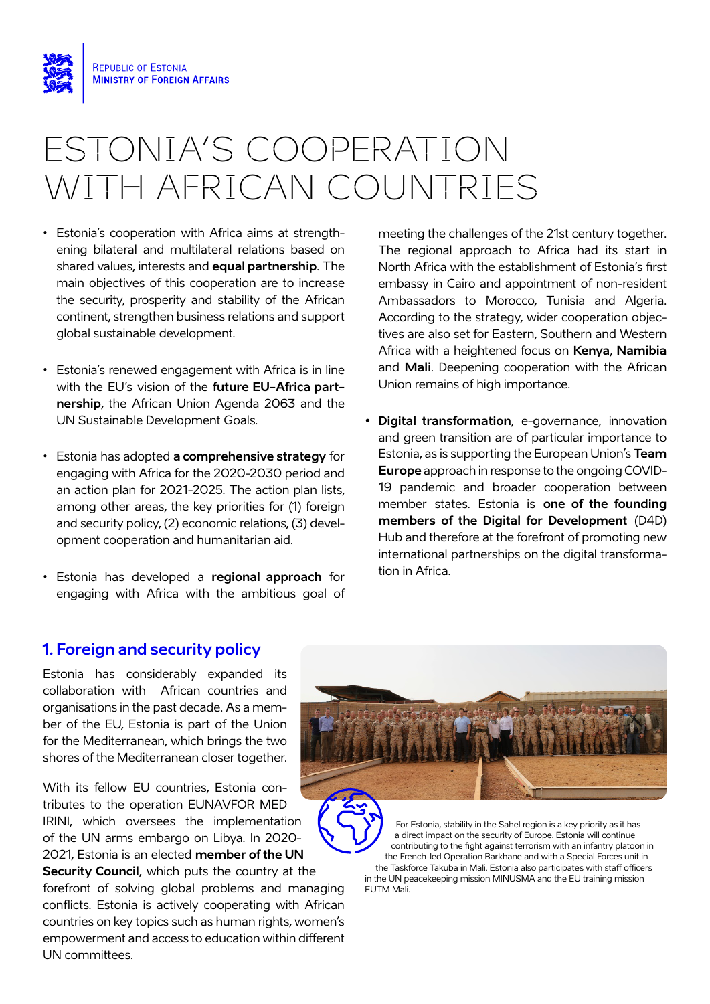

## ESTONIA'S COOPERATION WITH AFRICAN COUNTRIES

- Estonia's cooperation with Africa aims at strengthening bilateral and multilateral relations based on shared values, interests and **equal partnership**. The main objectives of this cooperation are to increase the security, prosperity and stability of the African continent, strengthen business relations and support global sustainable development.
- Estonia's renewed engagement with Africa is in line with the EU's vision of the **future EU-Africa partnership**, the African Union Agenda 2063 and the UN Sustainable Development Goals.
- Estonia has adopted **a comprehensive strategy** for engaging with Africa for the 2020-2030 period and an action plan for 2021-2025. The action plan lists, among other areas, the key priorities for (1) foreign and security policy, (2) economic relations, (3) development cooperation and humanitarian aid.
- Estonia has developed a **regional approach** for engaging with Africa with the ambitious goal of

meeting the challenges of the 21st century together. The regional approach to Africa had its start in North Africa with the establishment of Estonia's first embassy in Cairo and appointment of non-resident Ambassadors to Morocco, Tunisia and Algeria. According to the strategy, wider cooperation objectives are also set for Eastern, Southern and Western Africa with a heightened focus on **Kenya**, **Namibia** and **Mali**. Deepening cooperation with the African Union remains of high importance.

**• Digital transformation**, e-governance, innovation and green transition are of particular importance to Estonia, as is supporting the European Union's **Team Europe** approach in response to the ongoing COVID-19 pandemic and broader cooperation between member states. Estonia is **one of the founding members of the Digital for Development** (D4D) Hub and therefore at the forefront of promoting new international partnerships on the digital transformation in Africa.

## **1. Foreign and security policy**

Estonia has considerably expanded its collaboration with African countries and organisations in the past decade. As a member of the EU, Estonia is part of the Union for the Mediterranean, which brings the two shores of the Mediterranean closer together.

With its fellow EU countries, Estonia contributes to the operation EUNAVFOR MED IRINI, which oversees the implementation of the UN arms embargo on Libya. In 2020- 2021, Estonia is an elected **member of the UN Security Council**, which puts the country at the forefront of solving global problems and managing conflicts. Estonia is actively cooperating with African countries on key topics such as human rights, women's

empowerment and access to education within different

UN committees.



For Estonia, stability in the Sahel region is a key priority as it has a direct impact on the security of Europe. Estonia will continue contributing to the fight against terrorism with an infantry platoon in the French-led Operation Barkhane and with a Special Forces unit in the Taskforce Takuba in Mali. Estonia also participates with staff officers in the UN peacekeeping mission MINUSMA and the EU training mission EUTM Mali.